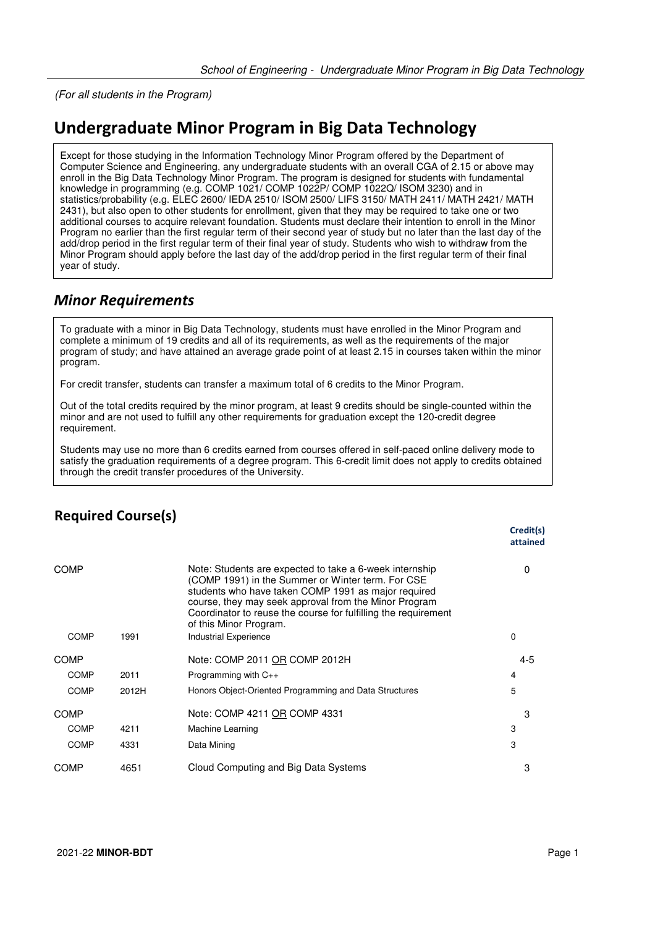(For all students in the Program)

## **Undergraduate Minor Program in Big Data Technology**

Except for those studying in the Information Technology Minor Program offered by the Department of Computer Science and Engineering, any undergraduate students with an overall CGA of 2.15 or above may enroll in the Big Data Technology Minor Program. The program is designed for students with fundamental knowledge in programming (e.g. COMP 1021/ COMP 1022P/ COMP 1022Q/ ISOM 3230) and in statistics/probability (e.g. ELEC 2600/ IEDA 2510/ ISOM 2500/ LIFS 3150/ MATH 2411/ MATH 2421/ MATH 2431), but also open to other students for enrollment, given that they may be required to take one or two additional courses to acquire relevant foundation. Students must declare their intention to enroll in the Minor Program no earlier than the first regular term of their second year of study but no later than the last day of the add/drop period in the first regular term of their final year of study. Students who wish to withdraw from the Minor Program should apply before the last day of the add/drop period in the first regular term of their final year of study.

## *Minor Requirements*

To graduate with a minor in Big Data Technology, students must have enrolled in the Minor Program and complete a minimum of 19 credits and all of its requirements, as well as the requirements of the major program of study; and have attained an average grade point of at least 2.15 in courses taken within the minor program.

For credit transfer, students can transfer a maximum total of 6 credits to the Minor Program.

Out of the total credits required by the minor program, at least 9 credits should be single-counted within the minor and are not used to fulfill any other requirements for graduation except the 120-credit degree requirement.

Students may use no more than 6 credits earned from courses offered in self-paced online delivery mode to satisfy the graduation requirements of a degree program. This 6-credit limit does not apply to credits obtained through the credit transfer procedures of the University.

|             |       |                                                                                                                                                                                                                                                                                                                          | Credit(s)<br>attained |
|-------------|-------|--------------------------------------------------------------------------------------------------------------------------------------------------------------------------------------------------------------------------------------------------------------------------------------------------------------------------|-----------------------|
| <b>COMP</b> |       | Note: Students are expected to take a 6-week internship<br>(COMP 1991) in the Summer or Winter term. For CSE<br>students who have taken COMP 1991 as major required<br>course, they may seek approval from the Minor Program<br>Coordinator to reuse the course for fulfilling the requirement<br>of this Minor Program. | 0                     |
| <b>COMP</b> | 1991  | <b>Industrial Experience</b>                                                                                                                                                                                                                                                                                             | 0                     |
| <b>COMP</b> |       | Note: COMP 2011 OR COMP 2012H                                                                                                                                                                                                                                                                                            | 4-5                   |
| <b>COMP</b> | 2011  | Programming with $C_{++}$                                                                                                                                                                                                                                                                                                | 4                     |
| <b>COMP</b> | 2012H | Honors Object-Oriented Programming and Data Structures                                                                                                                                                                                                                                                                   | 5                     |
| <b>COMP</b> |       | Note: COMP 4211 OR COMP 4331                                                                                                                                                                                                                                                                                             | 3                     |
| <b>COMP</b> | 4211  | Machine Learning                                                                                                                                                                                                                                                                                                         | 3                     |
| <b>COMP</b> | 4331  | Data Mining                                                                                                                                                                                                                                                                                                              | 3                     |
| <b>COMP</b> | 4651  | Cloud Computing and Big Data Systems                                                                                                                                                                                                                                                                                     | 3                     |

## **Required Course(s)**